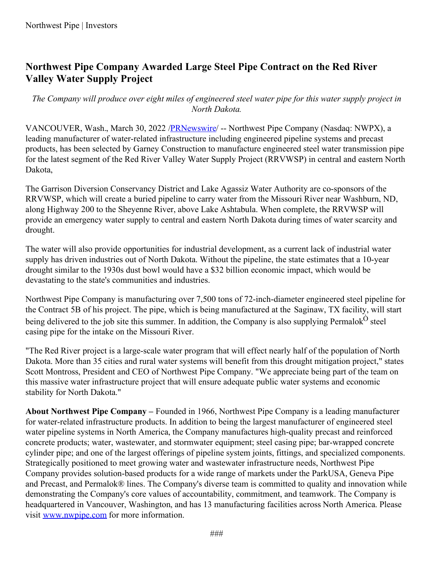## **Northwest Pipe Company Awarded Large Steel Pipe Contract on the Red River Valley Water Supply Project**

The Company will produce over eight miles of engineered steel water pipe for this water supply project in *North Dakota.*

VANCOUVER, Wash., March 30, 2022 [/PRNewswire](http://www.prnewswire.com/)/ -- Northwest Pipe Company (Nasdaq: NWPX), a leading manufacturer of water-related infrastructure including engineered pipeline systems and precast products, has been selected by Garney Construction to manufacture engineered steel water transmission pipe for the latest segment of the Red River Valley Water Supply Project (RRVWSP) in central and eastern North Dakota,

The Garrison Diversion Conservancy District and Lake Agassiz Water Authority are co-sponsors of the RRVWSP, which will create a buried pipeline to carry water from the Missouri River near Washburn, ND, along Highway 200 to the Sheyenne River, above Lake Ashtabula. When complete, the RRVWSP will provide an emergency water supply to central and eastern North Dakota during times of water scarcity and drought.

The water will also provide opportunities for industrial development, as a current lack of industrial water supply has driven industries out of North Dakota. Without the pipeline, the state estimates that a 10-year drought similar to the 1930s dust bowl would have a \$32 billion economic impact, which would be devastating to the state's communities and industries.

Northwest Pipe Company is manufacturing over 7,500 tons of 72-inch-diameter engineered steel pipeline for the Contract 5B of his project. The pipe, which is being manufactured at the Saginaw, TX facility, will start being delivered to the job site this summer. In addition, the Company is also supplying Permalok<sup>O</sup> steel casing pipe for the intake on the Missouri River.

"The Red River project is a large-scale water program that will effect nearly half of the population of North Dakota. More than 35 cities and rural water systems will benefit from this drought mitigation project," states Scott Montross, President and CEO of Northwest Pipe Company. "We appreciate being part of the team on this massive water infrastructure project that will ensure adequate public water systems and economic stability for North Dakota."

**About Northwest Pipe Company –** Founded in 1966, Northwest Pipe Company is a leading manufacturer for water-related infrastructure products. In addition to being the largest manufacturer of engineered steel water pipeline systems in North America, the Company manufactures high-quality precast and reinforced concrete products; water, wastewater, and stormwater equipment; steel casing pipe; bar-wrapped concrete cylinder pipe; and one of the largest offerings of pipeline system joints, fittings, and specialized components. Strategically positioned to meet growing water and wastewater infrastructure needs, Northwest Pipe Company provides solution-based products for a wide range of markets under the ParkUSA, Geneva Pipe and Precast, and Permalok® lines. The Company's diverse team is committed to quality and innovation while demonstrating the Company's core values of accountability, commitment, and teamwork. The Company is headquartered in Vancouver, Washington, and has 13 manufacturing facilities across North America. Please visit [www.nwpipe.com](https://c212.net/c/link/?t=0&l=en&o=3489466-1&h=3875601884&u=http%3A%2F%2Fwww.nwpipe.com%2F&a=www.nwpipe.com) for more information.